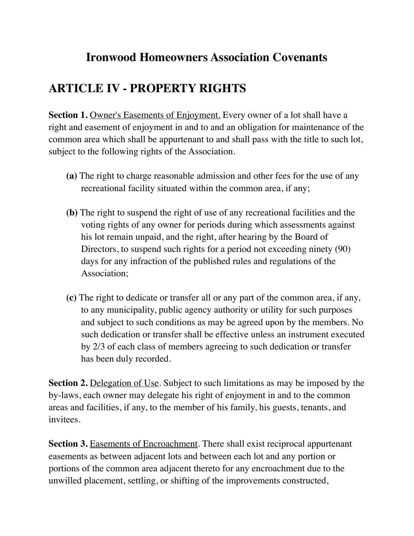## **Ironwood Homeowners Association Covenants**

## **ARTICLE IV - PROPERTY RIGHTS**

**Section 1.** Owner's Easements of Enjoyment. Every owner of a lot shall have a right and easement of enjoyment in and to and an obligation for maintenance of the common area which shall be appurtenant to and shall pass with the title to such lot, subject to the following rights of the Association.

- **(a)** The right to charge reasonable admission and other fees for the use of any recreational facility situated within the common area, if any;
- **(b)** The right to suspend the right of use of any recreational facilities and the voting rights of any owner for periods during which assessments against his lot remain unpaid, and the right, after hearing by the Board of Directors, to suspend such rights for a period not exceeding ninety (90) days for any infraction of the published rules and regulations of the Association;
- **(c)** The right to dedicate or transfer all or any part of the common area, if any, to any municipality, public agency authority or utility for such purposes and subject to such conditions as may be agreed upon by the members. No such dedication or transfer shall be effective unless an instrument executed by 2/3 of each class of members agreeing to such dedication or transfer has been duly recorded.

**Section 2.** Delegation of Use. Subject to such limitations as may be imposed by the by-laws, each owner may delegate his right of enjoyment in and to the common areas and facilities, if any, to the member of his family, his guests, tenants, and invitees.

**Section 3.** Easements of Encroachment. There shall exist reciprocal appurtenant easements as between adjacent lots and between each lot and any portion or portions of the common area adjacent thereto for any encroachment due to the unwilled placement, settling, or shifting of the improvements constructed,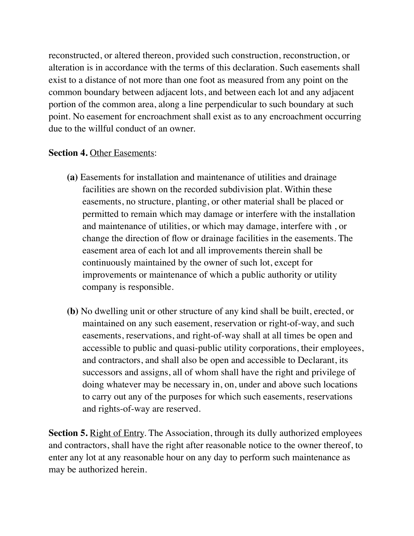reconstructed, or altered thereon, provided such construction, reconstruction, or alteration is in accordance with the terms of this declaration. Such easements shall exist to a distance of not more than one foot as measured from any point on the common boundary between adjacent lots, and between each lot and any adjacent portion of the common area, along a line perpendicular to such boundary at such point. No easement for encroachment shall exist as to any encroachment occurring due to the willful conduct of an owner.

## **Section 4.** Other Easements:

- **(a)** Easements for installation and maintenance of utilities and drainage facilities are shown on the recorded subdivision plat. Within these easements, no structure, planting, or other material shall be placed or permitted to remain which may damage or interfere with the installation and maintenance of utilities, or which may damage, interfere with , or change the direction of flow or drainage facilities in the easements. The easement area of each lot and all improvements therein shall be continuously maintained by the owner of such lot, except for improvements or maintenance of which a public authority or utility company is responsible.
- **(b)** No dwelling unit or other structure of any kind shall be built, erected, or maintained on any such easement, reservation or right-of-way, and such easements, reservations, and right-of-way shall at all times be open and accessible to public and quasi-public utility corporations, their employees, and contractors, and shall also be open and accessible to Declarant, its successors and assigns, all of whom shall have the right and privilege of doing whatever may be necessary in, on, under and above such locations to carry out any of the purposes for which such easements, reservations and rights-of-way are reserved.

**Section 5.** Right of Entry. The Association, through its dully authorized employees and contractors, shall have the right after reasonable notice to the owner thereof, to enter any lot at any reasonable hour on any day to perform such maintenance as may be authorized herein.